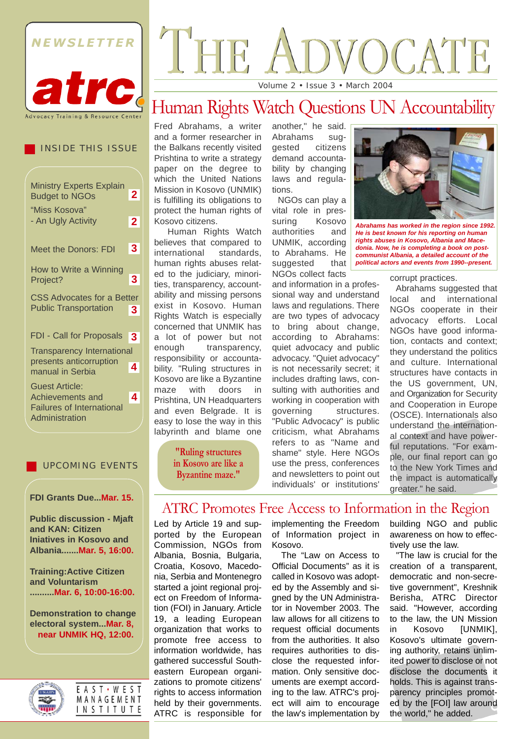

#### INSIDE THIS ISSUE

| <b>Ministry Experts Explain</b><br><b>Budget to NGOs</b>                                        | $\mathbf{2}$   |
|-------------------------------------------------------------------------------------------------|----------------|
| "Miss Kosova"<br>- An Ugly Activity                                                             | $\overline{2}$ |
| <b>Meet the Donors: FDI</b>                                                                     | 3              |
| How to Write a Winning<br>Project?                                                              | 3              |
| <b>CSS Advocates for a Better</b><br><b>Public Transportation</b>                               | 3              |
| <b>FDI - Call for Proposals</b>                                                                 | 3              |
| <b>Transparency International</b><br>presents anticorruption<br>manual in Serbia                | 4              |
| <b>Guest Article:</b><br>Achievements and<br><b>Failures of International</b><br>Administration | 4              |

#### UPCOMING EVENTS

#### **FDI Grants Due...Mar. 15.**

**Public discussion - Mjaft and KAN: Citizen Iniatives in Kosovo and Albania.......Mar. 5, 16:00.**

**Training:Active Citizen and Voluntarism ..........Mar. 6, 10:00-16:00.**

**Demonstration to change electoral system...Mar. 8, near UNMIK HQ, 12:00.**



|  |  |  | EAST · WEST |  |
|--|--|--|-------------|--|
|  |  |  | MANAGEMENT  |  |
|  |  |  | INSTITUTE   |  |

# JOCATE

Volume 2 • Issue 3 • March 2004

# Human Rights Watch Questions UN Accountability

Fred Abrahams, a writer and a former researcher in the Balkans recently visited Prishtina to write a strategy paper on the degree to which the United Nations Mission in Kosovo (UNMIK) is fulfilling its obligations to protect the human rights of Kosovo citizens.

Human Rights Watch believes that compared to international standards, human rights abuses related to the judiciary, minorities, transparency, accountability and missing persons exist in Kosovo. Human Rights Watch is especially concerned that UNMIK has a lot of power but not enough transparency, responsibility or accountability. "Ruling structures in Kosovo are like a Byzantine maze with doors in Prishtina, UN Headquarters and even Belgrade. It is easy to lose the way in this labyrinth and blame one

> **"Ruling structures in Kosovo are like a Byzantine maze."**

another," he said. Abrahams suggested citizens demand accountability by changing laws and regulations.

NGOs can play a vital role in pressuring Kosovo authorities and UNMIK, according to Abrahams. He suggested that NGOs collect facts

and information in a professional way and understand laws and regulations. There are two types of advocacy to bring about change, according to Abrahams: quiet advocacy and public advocacy. "Quiet advocacy" is not necessarily secret; it includes drafting laws, consulting with authorities and working in cooperation with governing structures. "Public Advocacy" is public criticism, what Abrahams refers to as "Name and shame" style. Here NGOs use the press, conferences and newsletters to point out individuals' or institutions'



*Abrahams has worked in the region since 1992. He is best known for his reporting on human rights abuses in Kosovo, Albania and Macedonia. Now, he is completing a book on postcommunist Albania, a detailed account of the political actors and events from 1990--present.*

corrupt practices.

Abrahams suggested that local and international NGOs cooperate in their advocacy efforts. Local NGOs have good information, contacts and context; they understand the politics and culture. International structures have contacts in the US government, UN, and Organization for Security and Cooperation in Europe (OSCE). Internationals also understand the international context and have powerful reputations. "For example, our final report can go to the New York Times and the impact is automatically greater." he said.

ATRC Promotes Free Access to Information in the Region

Led by Article 19 and supported by the European Commission, NGOs from Albania, Bosnia, Bulgaria, Croatia, Kosovo, Macedonia, Serbia and Montenegro started a joint regional project on Freedom of Information (FOI) in January. Article 19, a leading European organization that works to promote free access to information worldwide, has gathered successful Southeastern European organizations to promote citizens' rights to access information held by their governments. ATRC is responsible for

implementing the Freedom of Information project in Kosovo.

The "Law on Access to Official Documents" as it is called in Kosovo was adopted by the Assembly and signed by the UN Administrator in November 2003. The law allows for all citizens to request official documents from the authorities. It also requires authorities to disclose the requested information. Only sensitive documents are exempt according to the law. ATRC's project will aim to encourage the law's implementation by

building NGO and public awareness on how to effectively use the law.

"The law is crucial for the creation of a transparent, democratic and non-secretive government", Kreshnik Berisha, ATRC Director said. "However, according to the law, the UN Mission in Kosovo [UNMIK], Kosovo's ultimate governing authority, retains unlimited power to disclose or not disclose the documents it holds. This is against transparency principles promoted by the [FOI] law around the world," he added.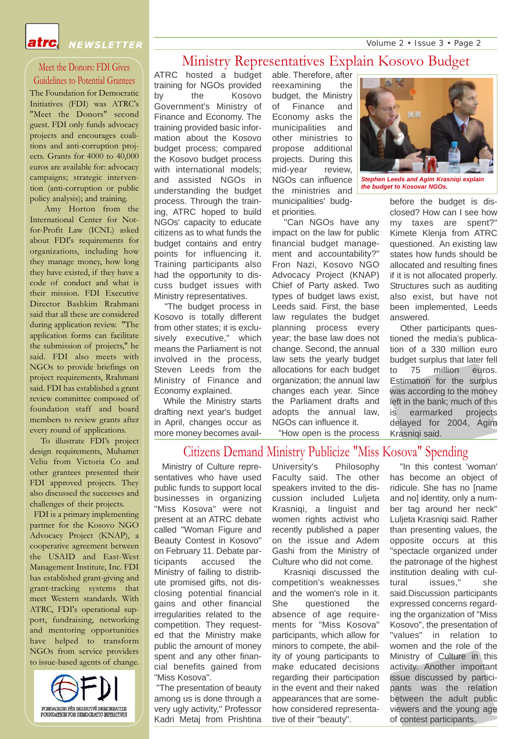Volume 2 • Issue 3 • Page 2



NEWSLETTER

#### Meet the Donors: FDI Gives

Guidelines to Potential Grantees The Foundation for Democratic Initiatives (FDI) was ATRC's "Meet the Donors" second guest. FDI only funds advocacy projects and encourages coalitions and anti-corruption projects. Grants for 4000 to 40,000 euros are available for: advocacy campaigns; strategic intervention (anti-corruption or public policy analysis); and training.

Amy Horton from the International Center for Notfor-Profit Law (ICNL) asked about FDI's requirements for organizations, including how they manage money, how long they have existed, if they have a code of conduct and what is their mission. FDI Executive Director Bashkim Rrahmani said that all these are considered during application review. "The application forms can facilitate the submission of projects," he said. FDI also meets with NGOs to provide briefings on project requirements, Rrahmani said. FDI has established a grant review committee composed of foundation staff and board members to review grants after every round of applications.

To illustrate FDI's project design requirements, Muhamet Veliu from Victoria Co and other grantees presented their FDI approved projects. They also discussed the successes and challenges of their projects.

FDI is a primary implementing partner for the Kosovo NGO Advocacy Project (KNAP), a cooperative agreement between the USAID and East-West Management Institute, Inc. FDI has established grant-giving and grant-tracking systems that meet Western standards. With ATRC, FDI's operational support, fundraising, networking and mentoring opportunities have helped to transform NGOs from service providers to issue-based agents of change.



#### Ministry Representatives Explain Kosovo Budget

ATRC hosted a budget training for NGOs provided by the Kosovo Government's Ministry of Finance and Economy. The training provided basic information about the Kosovo budget process; compared the Kosovo budget process with international models: and assisted NGOs in understanding the budget process. Through the training, ATRC hoped to build NGOs' capacity to educate citizens as to what funds the budget contains and entry points for influencing it. Training participants also had the opportunity to discuss budget issues with Ministry representatives.

"The budget process in Kosovo is totally different from other states; it is exclusively executive," which means the Parliament is not involved in the process, Steven Leeds from the Ministry of Finance and Economy explained.

While the Ministry starts drafting next year's budget in April, changes occur as more money becomes available. Therefore, after reexamining the budget, the Ministry of Finance and Economy asks the municipalities and other ministries to propose additional projects. During this mid-year review, NGOs can influence the ministries and municipalities' budget priorities.

"Can NGOs have any impact on the law for public financial budget management and accountability?" Fron Nazi, Kosovo NGO Advocacy Project (KNAP) Chief of Party asked. Two types of budget laws exist, Leeds said. First, the base law regulates the budget planning process every year; the base law does not change. Second, the annual law sets the yearly budget allocations for each budget organization; the annual law changes each year. Since the Parliament drafts and adopts the annual law, NGOs can influence it.

"How open is the process

#### Citizens Demand Ministry Publicize "Miss Kosova" Spending

Ministry of Culture representatives who have used public funds to support local businesses in organizing "Miss Kosova" were not present at an ATRC debate called "Woman Figure and Beauty Contest in Kosovo" on February 11. Debate participants accused the Ministry of failing to distribute promised gifts, not disclosing potential financial gains and other financial irregularities related to the competition. They requested that the Ministry make public the amount of money spent and any other financial benefits gained from "Miss Kosova".

"The presentation of beauty among us is done through a very ugly activity," Professor Kadri Metaj from Prishtina University's Philosophy Faculty said. The other speakers invited to the discussion included Luljeta Krasniqi, a linguist and women rights activist who recently published a paper on the issue and Adem Gashi from the Ministry of Culture who did not come.

Krasniqi discussed the competition's weaknesses and the women's role in it. She questioned the absence of age requirements for "Miss Kosova" participants, which allow for minors to compete, the ability of young participants to make educated decisions regarding their participation in the event and their naked appearances that are somehow considered representative of their "beauty".



*Stephen Leeds and Agim Krasniqi explain the budget to Kosovar NGOs.*

before the budget is disclosed? How can I see how my taxes are spent?" Kimete Klenja from ATRC questioned. An existing law states how funds should be allocated and resulting fines if it is not allocated properly. Structures such as auditing also exist, but have not been implemented, Leeds answered.

Other participants questioned the media's publication of a 330 million euro budget surplus that later fell to 75 million euros. Estimation for the surplus was according to the money left in the bank; much of this is earmarked projects delayed for 2004, Agim Krasniqi said.

"In this contest 'woman'

has become an object of ridicule. She has no [name and no] identity, only a number tag around her neck" Luljeta Krasniqi said. Rather than presenting values, the opposite occurs at this "spectacle organized under the patronage of the highest institution dealing with cultural issues," she said.Discussion participants expressed concerns regarding the organization of "Miss Kosovo", the presentation of "values" in relation to women and the role of the Ministry of Culture in this activity. Another important issue discussed by participants was the relation between the adult public viewers and the young age of contest participants.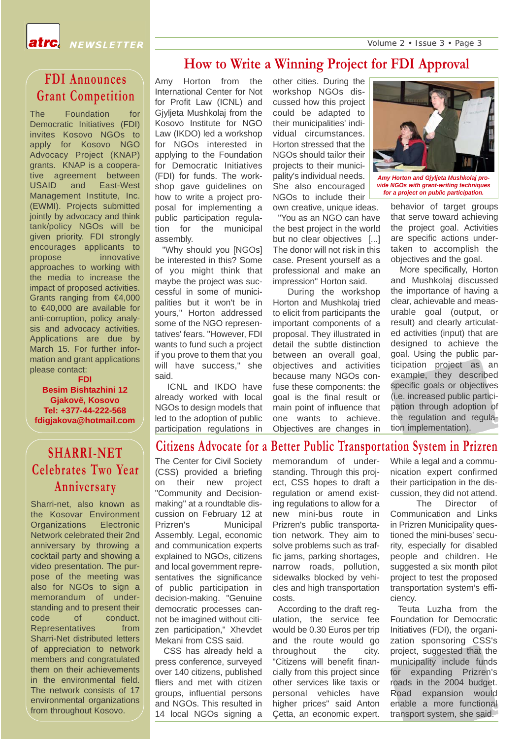Volume 2 • Issue 3 • Page 3



#### **How to Write a Winning Project for FDI Approval**

The Foundation for **FDI Announces Grant Competition** 

Democratic Initiatives (FDI) invites Kosovo NGOs to apply for Kosovo NGO Advocacy Project (KNAP) grants. KNAP is a cooperative agreement between USAID and East-West Management Institute, Inc. (EWMI). Projects submitted jointly by advocacy and think tank/policy NGOs will be given priority. FDI strongly encourages applicants to propose innovative approaches to working with the media to increase the impact of proposed activities. Grants ranging from €4,000 to €40,000 are available for anti-corruption, policy analysis and advocacy activities. Applications are due by March 15. For further information and grant applications please contact:

assembly.

said.

"Why should you [NGOs] be interested in this? Some of you might think that maybe the project was successful in some of municipalities but it won't be in yours," Horton addressed some of the NGO representatives' fears. "However, FDI wants to fund such a project if you prove to them that you will have success," she

ICNL and IKDO have already worked with local NGOs to design models that led to the adoption of public participation regulations in

**FDI Besim Bishtazhini 12 Gjakovë, Kosovo Tel: +377-44-222-568 fdigjakova@hotmail.com**

#### Amy Horton from the International Center for Not for Profit Law (ICNL) and Gjyljeta Mushkolaj from the Kosovo Institute for NGO Law (IKDO) led a workshop for NGOs interested in applying to the Foundation for Democratic Initiatives (FDI) for funds. The workshop gave guidelines on how to write a project proposal for implementing a public participation regulation for the municipal other cities. During the workshop NGOs discussed how this project could be adapted to their municipalities' individual circumstances. Horton stressed that the NGOs should tailor their projects to their municipality's individual needs. She also encouraged NGOs to include their own creative, unique ideas. "You as an NGO can have

the best project in the world but no clear objectives [...] The donor will not risk in this case. Present yourself as a professional and make an impression" Horton said.

During the workshop Horton and Mushkolaj tried to elicit from participants the important components of a proposal. They illustrated in detail the subtle distinction between an overall goal. objectives and activities because many NGOs confuse these components: the goal is the final result or main point of influence that one wants to achieve. Objectives are changes in



*Amy Horton and Gjyljeta Mushkolaj provide NGOs with grant-writing techniques for a project on public participation.*

behavior of target groups that serve toward achieving the project goal. Activities are specific actions undertaken to accomplish the objectives and the goal.

More specifically, Horton and Mushkolaj discussed the importance of having a clear, achievable and measurable goal (output, or result) and clearly articulated activities (input) that are designed to achieve the goal. Using the public participation project as an example, they described specific goals or objectives (i.e. increased public participation through adoption of the regulation and regulation implementation).

### **SHARRI-NET Celebrates Two Year Anniversary**

Sharri-net, also known as the Kosovar Environment Organizations Electronic Network celebrated their 2nd anniversary by throwing a cocktail party and showing a video presentation. The purpose of the meeting was also for NGOs to sign a memorandum of understanding and to present their code of conduct. Representatives from Sharri-Net distributed letters of appreciation to network members and congratulated them on their achievements in the environmental field. The network consists of 17 environmental organizations from throughout Kosovo.

## **Citizens Advocate for a Better Public Transportation System in Prizren**

The Center for Civil Society (CSS) provided a briefing on their new project "Community and Decisionmaking" at a roundtable discussion on February 12 at Prizren's Municipal Assembly. Legal, economic and communication experts explained to NGOs, citizens and local government representatives the significance of public participation in decision-making. "Genuine democratic processes cannot be imagined without citizen participation," Xhevdet Mekani from CSS said.

CSS has already held a press conference, surveyed over 140 citizens, published fliers and met with citizen groups, influential persons and NGOs. This resulted in 14 local NGOs signing a

memorandum of understanding. Through this project, CSS hopes to draft a regulation or amend existing regulations to allow for a new mini-bus route in Prizren's public transportation network. They aim to solve problems such as traffic jams, parking shortages, narrow roads, pollution, sidewalks blocked by vehicles and high transportation costs.

According to the draft regulation, the service fee would be 0.30 Euros per trip and the route would go throughout the city. "Citizens will benefit financially from this project since other services like taxis or personal vehicles have higher prices" said Anton Çetta, an economic expert.

While a legal and a communication expert confirmed their participation in the discussion, they did not attend.

The Director of Communication and Links in Prizren Municipality questioned the mini-buses' security, especially for disabled people and children. He suggested a six month pilot project to test the proposed transportation system's efficiency.

Teuta Luzha from the Foundation for Democratic Initiatives (FDI), the organization sponsoring CSS's project, suggested that the municipality include funds for expanding Prizren's roads in the 2004 budget. Road expansion would enable a more functional transport system, she said.